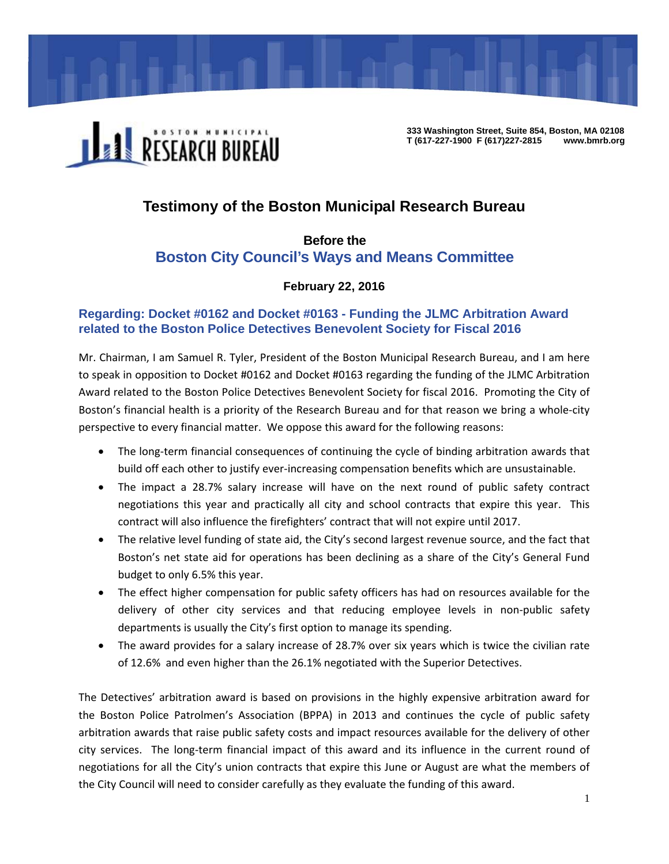

**333 Washington Street, Suite 854, Boston, MA 02108 T (617-227-1900 F (617)227-2815 www.bmrb.org** 

# **Testimony of the Boston Municipal Research Bureau**

## **Before the Boston City Council's Ways and Means Committee**

## **February 22, 2016**

### **Regarding: Docket #0162 and Docket #0163 - Funding the JLMC Arbitration Award related to the Boston Police Detectives Benevolent Society for Fiscal 2016**

Mr. Chairman, I am Samuel R. Tyler, President of the Boston Municipal Research Bureau, and I am here to speak in opposition to Docket #0162 and Docket #0163 regarding the funding of the JLMC Arbitration Award related to the Boston Police Detectives Benevolent Society for fiscal 2016. Promoting the City of Boston's financial health is a priority of the Research Bureau and for that reason we bring a whole‐city perspective to every financial matter. We oppose this award for the following reasons:

- The long-term financial consequences of continuing the cycle of binding arbitration awards that build off each other to justify ever‐increasing compensation benefits which are unsustainable.
- The impact a 28.7% salary increase will have on the next round of public safety contract negotiations this year and practically all city and school contracts that expire this year. This contract will also influence the firefighters' contract that will not expire until 2017.
- The relative level funding of state aid, the City's second largest revenue source, and the fact that Boston's net state aid for operations has been declining as a share of the City's General Fund budget to only 6.5% this year.
- The effect higher compensation for public safety officers has had on resources available for the delivery of other city services and that reducing employee levels in non-public safety departments is usually the City's first option to manage its spending.
- The award provides for a salary increase of 28.7% over six years which is twice the civilian rate of 12.6% and even higher than the 26.1% negotiated with the Superior Detectives.

The Detectives' arbitration award is based on provisions in the highly expensive arbitration award for the Boston Police Patrolmen's Association (BPPA) in 2013 and continues the cycle of public safety arbitration awards that raise public safety costs and impact resources available for the delivery of other city services. The long-term financial impact of this award and its influence in the current round of negotiations for all the City's union contracts that expire this June or August are what the members of the City Council will need to consider carefully as they evaluate the funding of this award.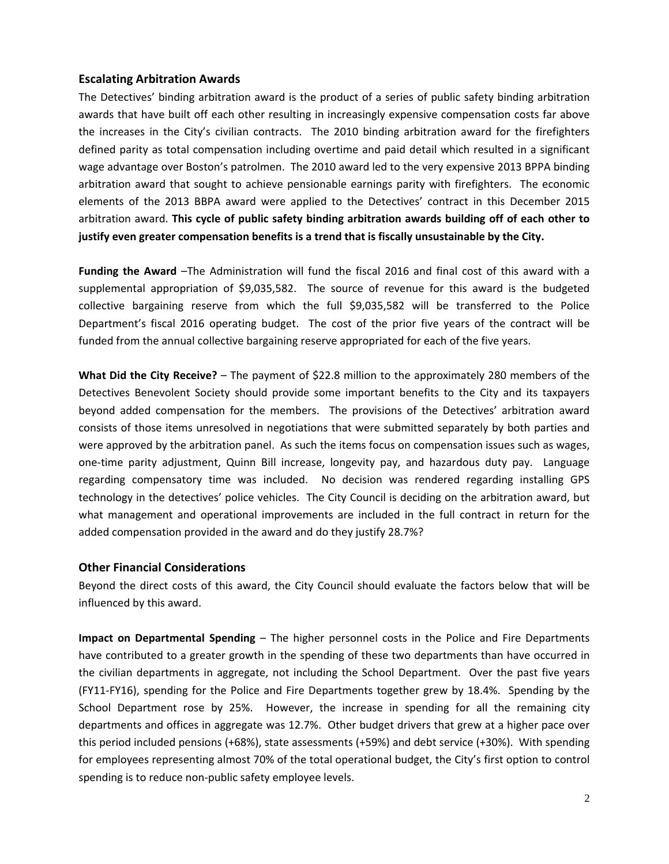#### **Escalating Arbitration Awards**

The Detectives' binding arbitration award is the product of a series of public safety binding arbitration awards that have built off each other resulting in increasingly expensive compensation costs far above the increases in the City's civilian contracts. The 2010 binding arbitration award for the firefighters defined parity as total compensation including overtime and paid detail which resulted in a significant wage advantage over Boston's patrolmen. The 2010 award led to the very expensive 2013 BPPA binding arbitration award that sought to achieve pensionable earnings parity with firefighters. The economic elements of the 2013 BBPA award were applied to the Detectives' contract in this December 2015 arbitration award. **This cycle of public safety binding arbitration awards building off of each other to justify even greater compensation benefits is a trend that is fiscally unsustainable by the City.**

**Funding the Award** –The Administration will fund the fiscal 2016 and final cost of this award with a supplemental appropriation of \$9,035,582. The source of revenue for this award is the budgeted collective bargaining reserve from which the full \$9,035,582 will be transferred to the Police Department's fiscal 2016 operating budget. The cost of the prior five years of the contract will be funded from the annual collective bargaining reserve appropriated for each of the five years.

**What Did the City Receive?** – The payment of \$22.8 million to the approximately 280 members of the Detectives Benevolent Society should provide some important benefits to the City and its taxpayers beyond added compensation for the members. The provisions of the Detectives' arbitration award consists of those items unresolved in negotiations that were submitted separately by both parties and were approved by the arbitration panel. As such the items focus on compensation issues such as wages, one-time parity adjustment, Quinn Bill increase, longevity pay, and hazardous duty pay. Language regarding compensatory time was included. No decision was rendered regarding installing GPS technology in the detectives' police vehicles. The City Council is deciding on the arbitration award, but what management and operational improvements are included in the full contract in return for the added compensation provided in the award and do they justify 28.7%?

#### **Other Financial Considerations**

Beyond the direct costs of this award, the City Council should evaluate the factors below that will be influenced by this award.

**Impact on Departmental Spending** – The higher personnel costs in the Police and Fire Departments have contributed to a greater growth in the spending of these two departments than have occurred in the civilian departments in aggregate, not including the School Department. Over the past five years (FY11‐FY16), spending for the Police and Fire Departments together grew by 18.4%. Spending by the School Department rose by 25%. However, the increase in spending for all the remaining city departments and offices in aggregate was 12.7%. Other budget drivers that grew at a higher pace over this period included pensions (+68%), state assessments (+59%) and debt service (+30%). With spending for employees representing almost 70% of the total operational budget, the City's first option to control spending is to reduce non-public safety employee levels.